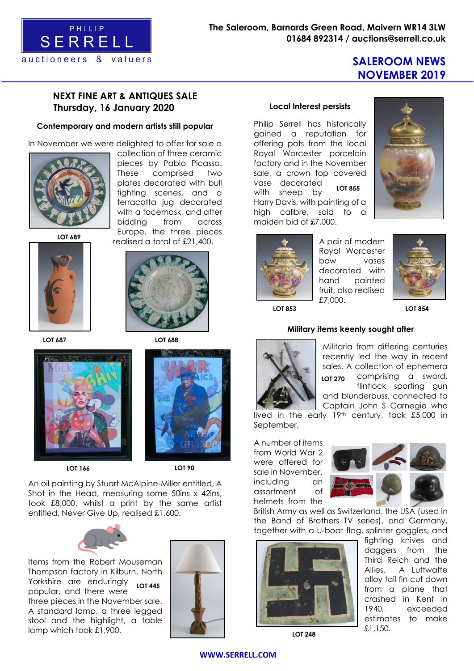

# **SALEROOM NEWS NOVEMBER 2019**

## **NEXT FINE ART & ANTIQUES SALE Thursday, 16 January 2020**

#### **Contemporary and modern artists still popular**

In November we were delighted to offer for sale a



collection of three ceramic pieces by Pablo Picasso. These comprised two plates decorated with bull fighting scenes, and a terracotta jug decorated with a facemask, and after bidding from across Europe, the three pieces realised a total of £21,400.

**LOT 689**



**LOT 687 LOT 688**





An oil painting by Stuart McAlpine-Miller entitled, A Shot in the Head, measuring some 50ins x 42ins, took £8,000, whilst a print by the same artist entitled, Never Give Up, realised £1,600.



Items from the Robert Mouseman Thompson factory in Kilburn, North Yorkshire are enduringly popular, and there were three pieces in the November sale. A standard lamp, a three legged stool and the highlight, a table lamp which took £1,900. **LOT 445**



#### **Local Interest persists**

Philip Serrell has historically gained a reputation for offering pots from the local Royal Worcester porcelain factory and in the November sale, a crown top covered vase decorated with sheep by Harry Davis, with painting of a high calibre, sold to a maiden bid of £7,000. **LOT 855**





A pair of modern Royal Worcester bow vases decorated with hand painted fruit, also realised £7,000.



**LOT 853 LOT 854**

#### **Military items keenly sought after**



Militaria from differing centuries recently led the way in recent sales. A collection of ephemera comprising a sword, flintlock sporting gun and blunderbuss, connected to Captain John S Carnegie who **LOT 270**

lived in the early 19th century, took £5,000 in September.

A number of items from World War 2 were offered for sale in November, including an assortment of helmets from the



British Army as well as Switzerland, the USA (used in the Band of Brothers TV series), and Germany, together with a U-boat flag, splinter goggles, and



**LOT 248**

fighting knives and daggers from the Third Reich and the Allies. A Luftwaffe alloy tail fin cut down from a plane that crashed in Kent in 1940, exceeded estimates to make £1,150.